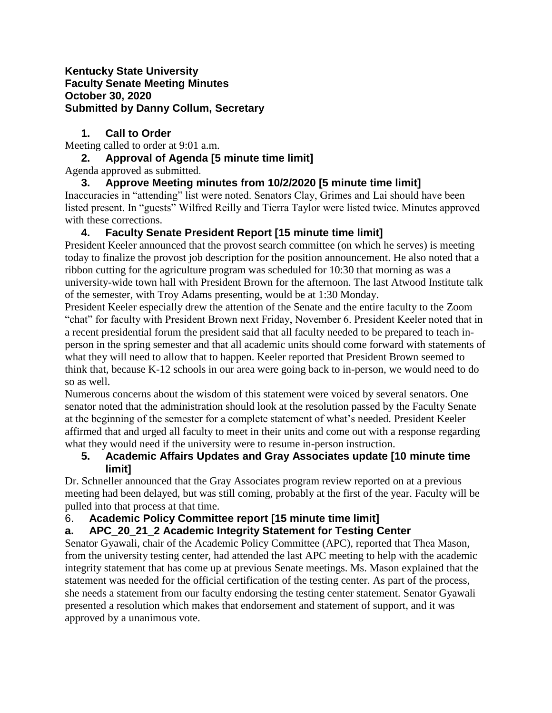#### **Kentucky State University Faculty Senate Meeting Minutes October 30, 2020 Submitted by Danny Collum, Secretary**

### **1. Call to Order**

Meeting called to order at 9:01 a.m.

### **2. Approval of Agenda [5 minute time limit]**

Agenda approved as submitted.

**3. Approve Meeting minutes from 10/2/2020 [5 minute time limit]**  Inaccuracies in "attending" list were noted. Senators Clay, Grimes and Lai should have been listed present. In "guests" Wilfred Reilly and Tierra Taylor were listed twice. Minutes approved with these corrections.

## **4. Faculty Senate President Report [15 minute time limit]**

President Keeler announced that the provost search committee (on which he serves) is meeting today to finalize the provost job description for the position announcement. He also noted that a ribbon cutting for the agriculture program was scheduled for 10:30 that morning as was a university-wide town hall with President Brown for the afternoon. The last Atwood Institute talk of the semester, with Troy Adams presenting, would be at 1:30 Monday.

President Keeler especially drew the attention of the Senate and the entire faculty to the Zoom "chat" for faculty with President Brown next Friday, November 6. President Keeler noted that in a recent presidential forum the president said that all faculty needed to be prepared to teach inperson in the spring semester and that all academic units should come forward with statements of what they will need to allow that to happen. Keeler reported that President Brown seemed to think that, because K-12 schools in our area were going back to in-person, we would need to do so as well.

Numerous concerns about the wisdom of this statement were voiced by several senators. One senator noted that the administration should look at the resolution passed by the Faculty Senate at the beginning of the semester for a complete statement of what's needed. President Keeler affirmed that and urged all faculty to meet in their units and come out with a response regarding what they would need if the university were to resume in-person instruction.

### **5. Academic Affairs Updates and Gray Associates update [10 minute time limit]**

Dr. Schneller announced that the Gray Associates program review reported on at a previous meeting had been delayed, but was still coming, probably at the first of the year. Faculty will be pulled into that process at that time.

## 6. **Academic Policy Committee report [15 minute time limit]**

# **a. APC\_20\_21\_2 Academic Integrity Statement for Testing Center**

Senator Gyawali, chair of the Academic Policy Committee (APC), reported that Thea Mason, from the university testing center, had attended the last APC meeting to help with the academic integrity statement that has come up at previous Senate meetings. Ms. Mason explained that the statement was needed for the official certification of the testing center. As part of the process, she needs a statement from our faculty endorsing the testing center statement. Senator Gyawali presented a resolution which makes that endorsement and statement of support, and it was approved by a unanimous vote.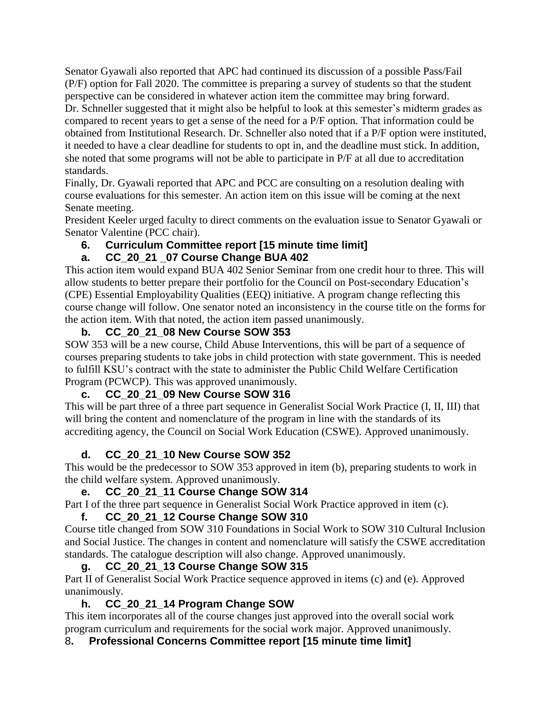Senator Gyawali also reported that APC had continued its discussion of a possible Pass/Fail (P/F) option for Fall 2020. The committee is preparing a survey of students so that the student perspective can be considered in whatever action item the committee may bring forward.

Dr. Schneller suggested that it might also be helpful to look at this semester's midterm grades as compared to recent years to get a sense of the need for a P/F option. That information could be obtained from Institutional Research. Dr. Schneller also noted that if a P/F option were instituted, it needed to have a clear deadline for students to opt in, and the deadline must stick. In addition, she noted that some programs will not be able to participate in P/F at all due to accreditation standards.

Finally, Dr. Gyawali reported that APC and PCC are consulting on a resolution dealing with course evaluations for this semester. An action item on this issue will be coming at the next Senate meeting.

President Keeler urged faculty to direct comments on the evaluation issue to Senator Gyawali or Senator Valentine (PCC chair).

## **6. Curriculum Committee report [15 minute time limit]**

### **a. CC\_20\_21 \_07 Course Change BUA 402**

This action item would expand BUA 402 Senior Seminar from one credit hour to three. This will allow students to better prepare their portfolio for the Council on Post-secondary Education's (CPE) Essential Employability Qualities (EEQ) initiative. A program change reflecting this course change will follow. One senator noted an inconsistency in the course title on the forms for the action item. With that noted, the action item passed unanimously.

### **b. CC\_20\_21\_08 New Course SOW 353**

SOW 353 will be a new course, Child Abuse Interventions, this will be part of a sequence of courses preparing students to take jobs in child protection with state government. This is needed to fulfill KSU's contract with the state to administer the Public Child Welfare Certification Program (PCWCP). This was approved unanimously.

### **c. CC\_20\_21\_09 New Course SOW 316**

This will be part three of a three part sequence in Generalist Social Work Practice (I, II, III) that will bring the content and nomenclature of the program in line with the standards of its accrediting agency, the Council on Social Work Education (CSWE). Approved unanimously.

## **d. CC\_20\_21\_10 New Course SOW 352**

This would be the predecessor to SOW 353 approved in item (b), preparing students to work in the child welfare system. Approved unanimously.

## **e. CC\_20\_21\_11 Course Change SOW 314**

Part I of the three part sequence in Generalist Social Work Practice approved in item (c).

## **f. CC\_20\_21\_12 Course Change SOW 310**

Course title changed from SOW 310 Foundations in Social Work to SOW 310 Cultural Inclusion and Social Justice. The changes in content and nomenclature will satisfy the CSWE accreditation standards. The catalogue description will also change. Approved unanimously.

### **g. CC\_20\_21\_13 Course Change SOW 315**

Part II of Generalist Social Work Practice sequence approved in items (c) and (e). Approved unanimously.

## **h. CC\_20\_21\_14 Program Change SOW**

This item incorporates all of the course changes just approved into the overall social work program curriculum and requirements for the social work major. Approved unanimously.

## 8**. Professional Concerns Committee report [15 minute time limit]**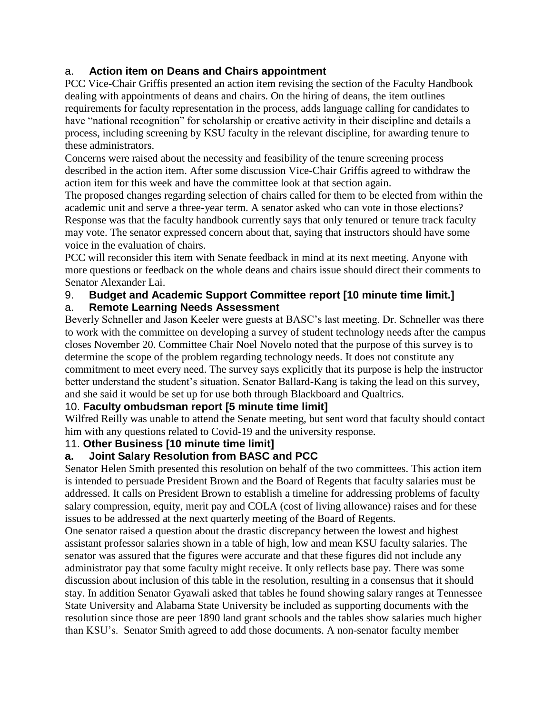### a. **Action item on Deans and Chairs appointment**

PCC Vice-Chair Griffis presented an action item revising the section of the Faculty Handbook dealing with appointments of deans and chairs. On the hiring of deans, the item outlines requirements for faculty representation in the process, adds language calling for candidates to have "national recognition" for scholarship or creative activity in their discipline and details a process, including screening by KSU faculty in the relevant discipline, for awarding tenure to these administrators.

Concerns were raised about the necessity and feasibility of the tenure screening process described in the action item. After some discussion Vice-Chair Griffis agreed to withdraw the action item for this week and have the committee look at that section again.

The proposed changes regarding selection of chairs called for them to be elected from within the academic unit and serve a three-year term. A senator asked who can vote in those elections? Response was that the faculty handbook currently says that only tenured or tenure track faculty may vote. The senator expressed concern about that, saying that instructors should have some voice in the evaluation of chairs.

PCC will reconsider this item with Senate feedback in mind at its next meeting. Anyone with more questions or feedback on the whole deans and chairs issue should direct their comments to Senator Alexander Lai.

#### 9. **Budget and Academic Support Committee report [10 minute time limit.]**

#### a. **Remote Learning Needs Assessment**

Beverly Schneller and Jason Keeler were guests at BASC's last meeting. Dr. Schneller was there to work with the committee on developing a survey of student technology needs after the campus closes November 20. Committee Chair Noel Novelo noted that the purpose of this survey is to determine the scope of the problem regarding technology needs. It does not constitute any commitment to meet every need. The survey says explicitly that its purpose is help the instructor better understand the student's situation. Senator Ballard-Kang is taking the lead on this survey, and she said it would be set up for use both through Blackboard and Qualtrics.

### 10. **Faculty ombudsman report [5 minute time limit]**

Wilfred Reilly was unable to attend the Senate meeting, but sent word that faculty should contact him with any questions related to Covid-19 and the university response.

#### 11. **Other Business [10 minute time limit]**

### **a. Joint Salary Resolution from BASC and PCC**

Senator Helen Smith presented this resolution on behalf of the two committees. This action item is intended to persuade President Brown and the Board of Regents that faculty salaries must be addressed. It calls on President Brown to establish a timeline for addressing problems of faculty salary compression, equity, merit pay and COLA (cost of living allowance) raises and for these issues to be addressed at the next quarterly meeting of the Board of Regents.

One senator raised a question about the drastic discrepancy between the lowest and highest assistant professor salaries shown in a table of high, low and mean KSU faculty salaries. The senator was assured that the figures were accurate and that these figures did not include any administrator pay that some faculty might receive. It only reflects base pay. There was some discussion about inclusion of this table in the resolution, resulting in a consensus that it should stay. In addition Senator Gyawali asked that tables he found showing salary ranges at Tennessee State University and Alabama State University be included as supporting documents with the resolution since those are peer 1890 land grant schools and the tables show salaries much higher than KSU's. Senator Smith agreed to add those documents. A non-senator faculty member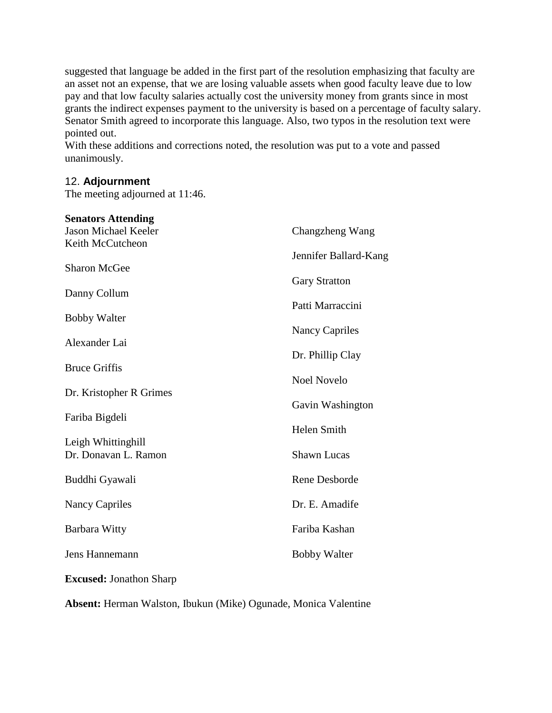suggested that language be added in the first part of the resolution emphasizing that faculty are an asset not an expense, that we are losing valuable assets when good faculty leave due to low pay and that low faculty salaries actually cost the university money from grants since in most grants the indirect expenses payment to the university is based on a percentage of faculty salary. Senator Smith agreed to incorporate this language. Also, two typos in the resolution text were pointed out.

With these additions and corrections noted, the resolution was put to a vote and passed unanimously.

#### 12. **Adjournment**

The meeting adjourned at 11:46.

| <b>Senators Attending</b>                  |                                               |
|--------------------------------------------|-----------------------------------------------|
| <b>Jason Michael Keeler</b>                | Changzheng Wang                               |
| Keith McCutcheon                           |                                               |
| <b>Sharon McGee</b>                        | Jennifer Ballard-Kang<br><b>Gary Stratton</b> |
| Danny Collum                               |                                               |
| <b>Bobby Walter</b>                        | Patti Marraccini<br><b>Nancy Capriles</b>     |
| Alexander Lai                              |                                               |
|                                            | Dr. Phillip Clay                              |
| <b>Bruce Griffis</b>                       | <b>Noel Novelo</b>                            |
| Dr. Kristopher R Grimes                    |                                               |
|                                            | Gavin Washington                              |
| Fariba Bigdeli                             |                                               |
|                                            | Helen Smith                                   |
| Leigh Whittinghill<br>Dr. Donavan L. Ramon | <b>Shawn Lucas</b>                            |
| Buddhi Gyawali                             | Rene Desborde                                 |
| <b>Nancy Capriles</b>                      | Dr. E. Amadife                                |
| <b>Barbara Witty</b>                       | Fariba Kashan                                 |
| Jens Hannemann                             | <b>Bobby Walter</b>                           |
| <b>Excused: Jonathon Sharp</b>             |                                               |

**Absent:** Herman Walston, Ibukun (Mike) Ogunade, Monica Valentine